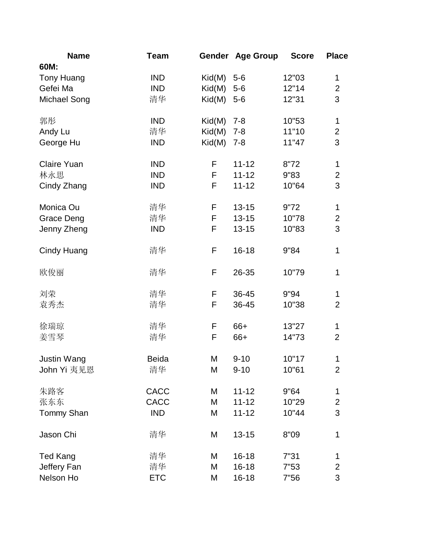| <b>Name</b>         | <b>Team</b>  |                            | Gender Age Group | <b>Score</b> | <b>Place</b>   |
|---------------------|--------------|----------------------------|------------------|--------------|----------------|
| 60M:                |              |                            |                  |              |                |
| <b>Tony Huang</b>   | <b>IND</b>   | Kid(M)                     | $5-6$            | 12"03        | $\mathbf 1$    |
| Gefei Ma            | <b>IND</b>   | Kid(M)                     | $5-6$            | 12"14        | $\overline{2}$ |
| <b>Michael Song</b> | 清华           | $\mathsf{Kid}(\mathsf{M})$ | $5-6$            | 12"31        | 3              |
| 郭彤                  | <b>IND</b>   | Kid(M)                     | $7 - 8$          | 10"53        | 1              |
| Andy Lu             | 清华           | Kid(M)                     | $7 - 8$          | 11"10        | $\overline{c}$ |
| George Hu           | <b>IND</b>   | Kid(M)                     | $7 - 8$          | 11"47        | 3              |
| <b>Claire Yuan</b>  | <b>IND</b>   | F                          | $11 - 12$        | 8"72         | 1              |
| 林永思                 | <b>IND</b>   | F                          | $11 - 12$        | 9"83         | $\overline{2}$ |
| Cindy Zhang         | <b>IND</b>   | F                          | $11 - 12$        | 10"64        | 3              |
| Monica Ou           | 清华           | F                          | $13 - 15$        | 9"72         | 1              |
| <b>Grace Deng</b>   | 清华           | F                          | $13 - 15$        | 10"78        | $\overline{c}$ |
| Jenny Zheng         | <b>IND</b>   | F                          | $13 - 15$        | 10"83        | 3              |
|                     |              |                            |                  |              |                |
| <b>Cindy Huang</b>  | 清华           | F                          | $16 - 18$        | 9"84         | 1              |
| 欧俊丽                 | 清华           | F                          | 26-35            | 10"79        | 1              |
| 刘荣                  | 清华           | F                          | 36-45            | 9"94         | 1              |
| 袁秀杰                 | 清华           | F                          | 36-45            | 10"38        | $\overline{2}$ |
|                     |              |                            |                  |              |                |
| 徐瑞琼                 | 清华           | F                          | 66+              | 13"27        | 1              |
| 姜雪琴                 | 清华           | F                          | 66+              | 14"73        | $\overline{2}$ |
| <b>Justin Wang</b>  | <b>Beida</b> | M                          | $9 - 10$         | 10"17        | 1              |
| John Yi 夷见恩         | 清华           | M                          | $9 - 10$         | 10"61        | $\overline{2}$ |
| 朱路客                 | <b>CACC</b>  | M                          | $11 - 12$        | 9"64         | 1              |
| 张东东                 | CACC         | M                          | $11 - 12$        | 10"29        | $\overline{2}$ |
| <b>Tommy Shan</b>   | <b>IND</b>   | M                          | $11 - 12$        | 10"44        | 3              |
|                     |              |                            |                  |              |                |
| Jason Chi           | 清华           | M                          | $13 - 15$        | 8"09         | 1              |
| <b>Ted Kang</b>     | 清华           | M                          | $16 - 18$        | 7"31         | 1              |
| Jeffery Fan         | 清华           | M                          | $16 - 18$        | 7"53         | $\overline{c}$ |
| Nelson Ho           | <b>ETC</b>   | M                          | $16 - 18$        | 7"56         | 3              |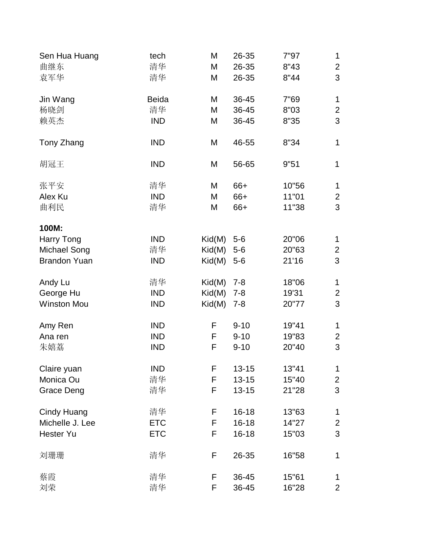| Sen Hua Huang       | tech         | M                          | 26-35     | 7"97  | 1              |
|---------------------|--------------|----------------------------|-----------|-------|----------------|
| 曲继东                 | 清华           | M                          | 26-35     | 8"43  | $\overline{2}$ |
| 袁军华                 | 清华           | M                          | 26-35     | 8"44  | 3              |
| Jin Wang            | <b>Beida</b> | M                          | 36-45     | 7"69  | 1              |
| 杨晓剑                 | 清华           | M                          | 36-45     | 8"03  | $\overline{c}$ |
| 赖英杰                 | <b>IND</b>   | M                          | 36-45     | 8"35  | 3              |
| Tony Zhang          | <b>IND</b>   | M                          | 46-55     | 8"34  | 1              |
| 胡冠王                 | <b>IND</b>   | M                          | 56-65     | 9"51  | 1              |
| 张平安                 | 清华           | M                          | 66+       | 10"56 | $\mathbf{1}$   |
| Alex Ku             | <b>IND</b>   | M                          | 66+       | 11"01 | 2              |
| 曲利民                 | 清华           | M                          | 66+       | 11"38 | 3              |
| 100M:               |              |                            |           |       |                |
| Harry Tong          | <b>IND</b>   | Kid(M)                     | $5-6$     | 20"06 | 1              |
| <b>Michael Song</b> | 清华           | Kid(M)                     | $5-6$     | 20"63 | $\overline{2}$ |
| <b>Brandon Yuan</b> | <b>IND</b>   | $\mathsf{Kid}(\mathsf{M})$ | $5-6$     | 21'16 | 3              |
| Andy Lu             | 清华           | Kid(M)                     | $7 - 8$   | 18"06 | 1              |
| George Hu           | <b>IND</b>   | Kid(M)                     | $7 - 8$   | 19'31 | $\overline{c}$ |
| <b>Winston Mou</b>  | <b>IND</b>   | Kid(M)                     | $7 - 8$   | 20"77 | 3              |
| Amy Ren             | <b>IND</b>   | F                          | $9 - 10$  | 19"41 | 1              |
| Ana ren             | <b>IND</b>   | F                          | $9 - 10$  | 19"83 | $\overline{2}$ |
| 朱嬉荔                 | <b>IND</b>   | F                          | $9 - 10$  | 20"40 | 3              |
| Claire yuan         | <b>IND</b>   | F                          | $13 - 15$ | 13"41 | 1              |
| Monica Ou           | 清华           | F                          | $13 - 15$ | 15"40 | $\overline{2}$ |
| <b>Grace Deng</b>   | 清华           | F                          | $13 - 15$ | 21"28 | 3              |
| Cindy Huang         | 清华           | F                          | $16 - 18$ | 13"63 | 1              |
| Michelle J. Lee     | <b>ETC</b>   | F                          | $16 - 18$ | 14"27 | $\overline{2}$ |
| <b>Hester Yu</b>    | <b>ETC</b>   | F                          | $16 - 18$ | 15"03 | 3              |
| 刘珊珊                 | 清华           | F                          | 26-35     | 16"58 | 1              |
| 蔡霞                  | 清华           | F                          | 36-45     | 15"61 | 1              |
| 刘荣                  | 清华           | F                          | 36-45     | 16"28 | $\overline{2}$ |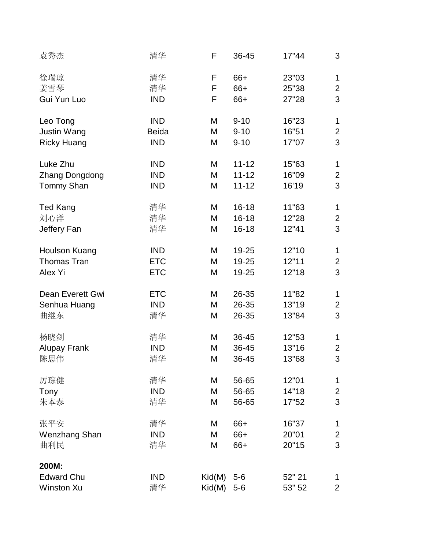| 袁秀杰                   | 清华           | F      | 36-45     | 17"44  | 3              |
|-----------------------|--------------|--------|-----------|--------|----------------|
| 徐瑞琼                   | 清华           | F      | 66+       | 23"03  | 1              |
| 姜雪琴                   | 清华           | F      | 66+       | 25"38  | $\overline{2}$ |
| Gui Yun Luo           | <b>IND</b>   | F      | 66+       | 27"28  | 3              |
| Leo Tong              | <b>IND</b>   | M      | $9 - 10$  | 16"23  | 1              |
| <b>Justin Wang</b>    | <b>Beida</b> | M      | $9 - 10$  | 16"51  | $\overline{2}$ |
| <b>Ricky Huang</b>    | <b>IND</b>   | M      | $9 - 10$  | 17"07  | 3              |
| Luke Zhu              | <b>IND</b>   | M      | $11 - 12$ | 15"63  | 1              |
| <b>Zhang Dongdong</b> | <b>IND</b>   | M      | $11 - 12$ | 16"09  | $\overline{2}$ |
| <b>Tommy Shan</b>     | <b>IND</b>   | M      | $11 - 12$ | 16'19  | 3              |
| <b>Ted Kang</b>       | 清华           | M      | $16 - 18$ | 11"63  | $\mathbf{1}$   |
| 刘心洋                   | 清华           | M      | $16 - 18$ | 12"28  | $\overline{2}$ |
| Jeffery Fan           | 清华           | M      | $16 - 18$ | 12"41  | 3              |
| Houlson Kuang         | <b>IND</b>   | M      | 19-25     | 12"10  | 1              |
| <b>Thomas Tran</b>    | <b>ETC</b>   | M      | 19-25     | 12"11  | $\overline{2}$ |
| Alex Yi               | <b>ETC</b>   | M      | 19-25     | 12"18  | 3              |
| Dean Everett Gwi      | <b>ETC</b>   | M      | 26-35     | 11"82  | 1              |
| Senhua Huang          | <b>IND</b>   | M      | 26-35     | 13"19  | $\overline{2}$ |
| 曲继东                   | 清华           | M      | 26-35     | 13"84  | 3              |
| 杨晓剑                   | 清华           | M      | 36-45     | 12"53  | 1              |
| <b>Alupay Frank</b>   | <b>IND</b>   | M      | 36-45     | 13"16  | $\overline{2}$ |
| 陈思伟                   | 清华           | M      | 36-45     | 13"68  | 3              |
| 厉琮健                   | 清华           | M      | 56-65     | 12"01  | 1              |
| Tony                  | <b>IND</b>   | M      | 56-65     | 14"18  | $\overline{c}$ |
| 朱本泰                   | 清华           | M      | 56-65     | 17"52  | 3              |
| 张平安                   | 清华           | M      | 66+       | 16"37  | 1              |
| <b>Wenzhang Shan</b>  | <b>IND</b>   | M      | 66+       | 20"01  | $\overline{2}$ |
| 曲利民                   | 清华           | M      | 66+       | 20"15  | 3              |
| 200M:                 |              |        |           |        |                |
| <b>Edward Chu</b>     | <b>IND</b>   | Kid(M) | $5-6$     | 52" 21 | 1              |
| <b>Winston Xu</b>     | 清华           | Kid(M) | $5-6$     | 53" 52 | $\overline{2}$ |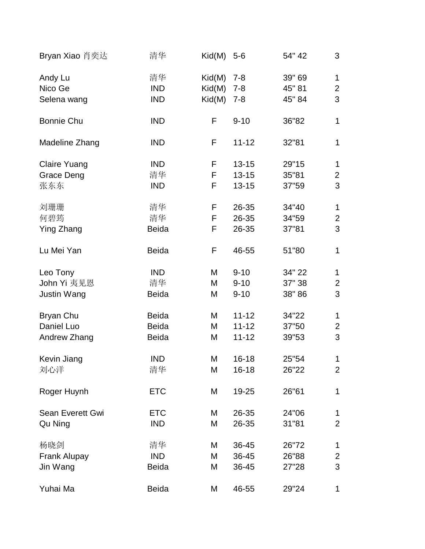| Bryan Xiao 肖奕达      | 清华           | $\mathsf{Kid}(\mathsf{M})$ | $5-6$     | 54" 42 | 3              |
|---------------------|--------------|----------------------------|-----------|--------|----------------|
| Andy Lu             | 清华           | Kid(M)                     | $7 - 8$   | 39" 69 | $\mathbf 1$    |
| Nico Ge             | <b>IND</b>   | Kid(M)                     | $7 - 8$   | 45" 81 | $\overline{2}$ |
| Selena wang         | <b>IND</b>   | Kid(M)                     | $7 - 8$   | 45" 84 | 3              |
| <b>Bonnie Chu</b>   | <b>IND</b>   | F                          | $9 - 10$  | 36"82  | $\mathbf{1}$   |
| Madeline Zhang      | <b>IND</b>   | F                          | $11 - 12$ | 32"81  | 1              |
| <b>Claire Yuang</b> | <b>IND</b>   | F                          | $13 - 15$ | 29"15  | 1              |
| Grace Deng          | 清华           | F                          | $13 - 15$ | 35"81  | $\overline{2}$ |
| 张东东                 | <b>IND</b>   | F                          | $13 - 15$ | 37"59  | 3              |
| 刘珊珊                 | 清华           | F                          | 26-35     | 34"40  | $\mathbf{1}$   |
| 何碧筠                 | 清华           | F                          | 26-35     | 34"59  | $\overline{2}$ |
| <b>Ying Zhang</b>   | <b>Beida</b> | F                          | 26-35     | 37"81  | 3              |
| Lu Mei Yan          | <b>Beida</b> | F                          | 46-55     | 51"80  | 1              |
| Leo Tony            | <b>IND</b>   | M                          | $9 - 10$  | 34" 22 | 1              |
| John Yi 夷见恩         | 清华           | M                          | $9 - 10$  | 37" 38 | $\overline{2}$ |
| <b>Justin Wang</b>  | <b>Beida</b> | M                          | $9 - 10$  | 38" 86 | 3              |
| Bryan Chu           | <b>Beida</b> | M                          | $11 - 12$ | 34"22  | $\mathbf{1}$   |
| Daniel Luo          | <b>Beida</b> | M                          | $11 - 12$ | 37"50  | $\overline{2}$ |
| Andrew Zhang        | <b>Beida</b> | M                          | $11 - 12$ | 39"53  | 3              |
| Kevin Jiang         | IND          | M                          | $16 - 18$ | 25"54  | 1              |
| 刘心洋                 | 清华           | M                          | $16 - 18$ | 26"22  | $\overline{2}$ |
| Roger Huynh         | <b>ETC</b>   | M                          | 19-25     | 26"61  | 1              |
| Sean Everett Gwi    | <b>ETC</b>   | M                          | 26-35     | 24"06  | 1              |
| Qu Ning             | <b>IND</b>   | M                          | 26-35     | 31"81  | $\overline{2}$ |
| 杨晓剑                 | 清华           | M                          | 36-45     | 26"72  | $\mathbf 1$    |
| <b>Frank Alupay</b> | <b>IND</b>   | M                          | 36-45     | 26"88  | $\overline{2}$ |
| Jin Wang            | <b>Beida</b> | M                          | 36-45     | 27"28  | 3              |
| Yuhai Ma            | <b>Beida</b> | M                          | 46-55     | 29"24  | 1              |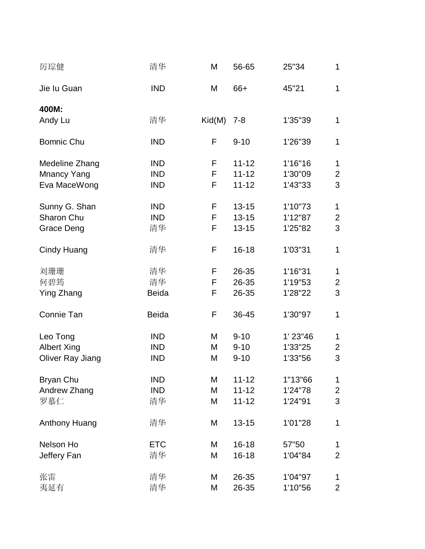| 厉琮健                  | 清华           | M      | 56-65     | 25"34      | 1              |
|----------------------|--------------|--------|-----------|------------|----------------|
| Jie lu Guan          | <b>IND</b>   | M      | 66+       | 45"21      | $\mathbf{1}$   |
| 400M:                |              |        |           |            |                |
| Andy Lu              | 清华           | Kid(M) | $7 - 8$   | 1'35"39    | 1              |
| <b>Bomnic Chu</b>    | <b>IND</b>   | F      | $9 - 10$  | 1'26"39    | $\mathbf{1}$   |
| Medeline Zhang       | <b>IND</b>   | F      | $11 - 12$ | 1'16"16    | $\mathbf{1}$   |
| <b>Mnancy Yang</b>   | <b>IND</b>   | F      | $11 - 12$ | 1'30"09    | $\overline{2}$ |
| Eva MaceWong         | <b>IND</b>   | F      | $11 - 12$ | 1'43"33    | 3              |
| Sunny G. Shan        | <b>IND</b>   | F      | $13 - 15$ | 1'10"73    | $\mathbf{1}$   |
| Sharon Chu           | <b>IND</b>   | F      | $13 - 15$ | 1'12"87    | $\overline{2}$ |
| <b>Grace Deng</b>    | 清华           | F      | $13 - 15$ | 1'25"82    | 3              |
| <b>Cindy Huang</b>   | 清华           | F      | $16 - 18$ | 1'03"31    | $\mathbf{1}$   |
| 刘珊珊                  | 清华           | F      | 26-35     | 1'16"31    | $\mathbf{1}$   |
| 何碧筠                  | 清华           | F      | 26-35     | 1'19"53    | $\overline{2}$ |
| Ying Zhang           | <b>Beida</b> | F      | 26-35     | 1'28"22    | 3              |
| Connie Tan           | <b>Beida</b> | F      | 36-45     | 1'30"97    | 1              |
| Leo Tong             | <b>IND</b>   | M      | $9 - 10$  | $1'$ 23"46 | $\mathbf{1}$   |
| <b>Albert Xing</b>   | <b>IND</b>   | Μ      | $9 - 10$  | 1'33"25    | 2              |
| Oliver Ray Jiang     | <b>IND</b>   | M      | $9 - 10$  | 1'33"56    | 3              |
| Bryan Chu            | <b>IND</b>   | M      | $11 - 12$ | 1"13"66    | $\mathbf{1}$   |
| Andrew Zhang         | <b>IND</b>   | M      | $11 - 12$ | 1'24"78    | $\overline{2}$ |
| 罗慕仁                  | 清华           | М      | $11 - 12$ | 1'24"91    | 3              |
| <b>Anthony Huang</b> | 清华           | M      | $13 - 15$ | 1'01"28    | 1              |
| Nelson Ho            | <b>ETC</b>   | M      | $16 - 18$ | 57"50      | 1              |
| Jeffery Fan          | 清华           | M      | $16 - 18$ | 1'04"84    | $\overline{2}$ |
| 张雷                   | 清华           | М      | 26-35     | 1'04"97    | 1              |
| 夷延有                  | 清华           | M      | 26-35     | 1'10"56    | $\overline{2}$ |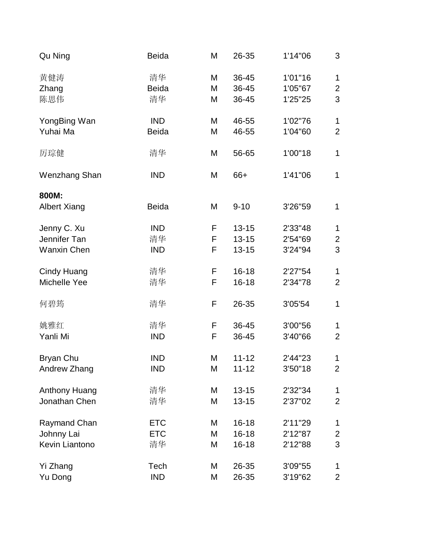| Qu Ning                      | <b>Beida</b> | M | 26-35     | 1'14"06 | 3              |
|------------------------------|--------------|---|-----------|---------|----------------|
| 黄健涛                          | 清华           | M | 36-45     | 1'01"16 | $\mathbf 1$    |
| Zhang                        | <b>Beida</b> | M | 36-45     | 1'05"67 | $\overline{2}$ |
| 陈思伟                          | 清华           | M | 36-45     | 1'25"25 | 3              |
| YongBing Wan                 | <b>IND</b>   | M | 46-55     | 1'02"76 | $\mathbf{1}$   |
| Yuhai Ma                     | <b>Beida</b> | M | 46-55     | 1'04"60 | $\overline{2}$ |
| 厉琮健                          | 清华           | M | 56-65     | 1'00"18 | 1              |
| Wenzhang Shan                | <b>IND</b>   | M | 66+       | 1'41"06 | $\mathbf 1$    |
| 800M:<br><b>Albert Xiang</b> | <b>Beida</b> | M | $9 - 10$  | 3'26"59 | $\mathbf{1}$   |
| Jenny C. Xu                  | <b>IND</b>   | F | $13 - 15$ | 2'33"48 | $\mathbf{1}$   |
| Jennifer Tan                 | 清华           | F | $13 - 15$ | 2'54"69 | $\overline{c}$ |
| <b>Wanxin Chen</b>           | <b>IND</b>   | F | $13 - 15$ | 3'24"94 | 3              |
| <b>Cindy Huang</b>           | 清华           | F | $16 - 18$ | 2'27"54 | 1              |
| Michelle Yee                 | 清华           | F | $16 - 18$ | 2'34"78 | $\overline{2}$ |
| 何碧筠                          | 清华           | F | 26-35     | 3'05'54 | 1              |
| 姚雅红                          | 清华           | F | 36-45     | 3'00"56 | 1              |
| Yanli Mi                     | <b>IND</b>   | F | 36-45     | 3'40"66 | $\overline{2}$ |
| Bryan Chu                    | <b>IND</b>   | M | 11-12     | 2'44"23 | 1              |
| Andrew Zhang                 | <b>IND</b>   | M | $11 - 12$ | 3'50"18 | $\overline{2}$ |
| <b>Anthony Huang</b>         | 清华           | M | $13 - 15$ | 2'32"34 | 1              |
| Jonathan Chen                | 清华           | M | $13 - 15$ | 2'37"02 | $\overline{2}$ |
| Raymand Chan                 | <b>ETC</b>   | M | $16 - 18$ | 2'11"29 | 1              |
| Johnny Lai                   | <b>ETC</b>   | М | $16 - 18$ | 2'12"87 | $\overline{2}$ |
| Kevin Liantono               | 清华           | M | $16 - 18$ | 2'12"88 | 3              |
| Yi Zhang                     | Tech         | М | 26-35     | 3'09"55 | 1              |
| Yu Dong                      | <b>IND</b>   | M | 26-35     | 3'19"62 | $\overline{2}$ |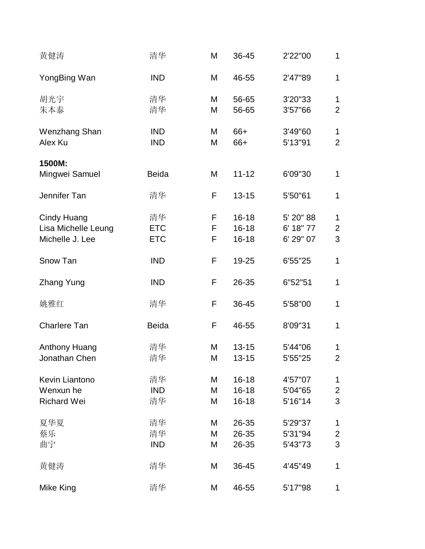| 黄健涛                                                   | 清华                             | M           | 36-45                               | 2'22"00                             | 1                                   |
|-------------------------------------------------------|--------------------------------|-------------|-------------------------------------|-------------------------------------|-------------------------------------|
| YongBing Wan                                          | <b>IND</b>                     | M           | 46-55                               | 2'47"89                             | $\mathbf{1}$                        |
| 胡光宇<br>朱本泰                                            | 清华<br>清华                       | M<br>M      | 56-65<br>56-65                      | 3'20"33<br>3'57"66                  | $\mathbf{1}$<br>$\overline{2}$      |
| Wenzhang Shan<br>Alex Ku                              | <b>IND</b><br><b>IND</b>       | M<br>M      | 66+<br>66+                          | 3'49"60<br>5'13"91                  | $\mathbf{1}$<br>$\overline{2}$      |
| 1500M:<br>Mingwei Samuel                              | <b>Beida</b>                   | M           | $11 - 12$                           | 6'09"30                             | 1                                   |
| Jennifer Tan                                          | 清华                             | F           | $13 - 15$                           | 5'50"61                             | $\mathbf{1}$                        |
| Cindy Huang<br>Lisa Michelle Leung<br>Michelle J. Lee | 清华<br><b>ETC</b><br><b>ETC</b> | F<br>F<br>F | $16 - 18$<br>$16 - 18$<br>$16 - 18$ | 5' 20" 88<br>6' 18" 77<br>6' 29" 07 | $\mathbf{1}$<br>$\overline{c}$<br>3 |
| Snow Tan                                              | <b>IND</b>                     | F           | 19-25                               | 6'55"25                             | $\mathbf{1}$                        |
| <b>Zhang Yung</b>                                     | <b>IND</b>                     | F           | 26-35                               | 6"52"51                             | $\mathbf{1}$                        |
| 姚雅红                                                   | 清华                             | F           | 36-45                               | 5'58"00                             | $\mathbf{1}$                        |
| <b>Charlere Tan</b>                                   | <b>Beida</b>                   | F           | 46-55                               | 8'09"31                             | $\mathbf{1}$                        |
| <b>Anthony Huang</b><br>Jonathan Chen                 | 清华<br>清华                       | M<br>M      | $13 - 15$<br>$13 - 15$              | 5'44"06<br>5'55"25                  | 1<br>$\overline{2}$                 |
| Kevin Liantono<br>Wenxun he<br><b>Richard Wei</b>     | 清华<br><b>IND</b><br>清华         | M<br>M<br>M | $16 - 18$<br>$16 - 18$<br>$16 - 18$ | 4'57"07<br>5'04"65<br>5'16"14       | 1<br>$\overline{2}$<br>3            |
| 夏华夏<br>蔡乐<br>曲宁                                       | 清华<br>清华<br><b>IND</b>         | M<br>M<br>M | 26-35<br>26-35<br>26-35             | 5'29"37<br>5'31"94<br>5'43"73       | 1<br>$\overline{2}$<br>3            |
| 黄健涛                                                   | 清华                             | M           | 36-45                               | 4'45"49                             | 1                                   |
| Mike King                                             | 清华                             | M           | 46-55                               | 5'17"98                             | 1                                   |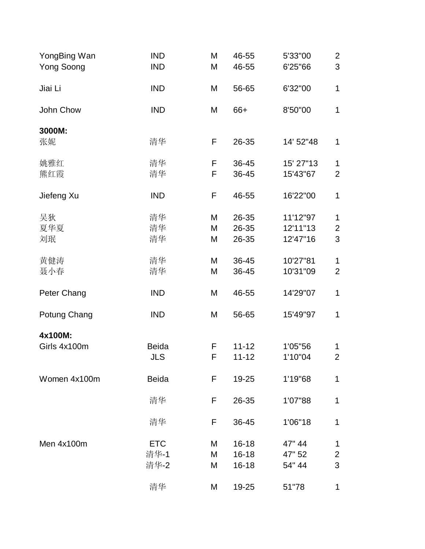| YongBing Wan<br><b>Yong Soong</b> | <b>IND</b><br><b>IND</b>   | M<br>M      | 46-55<br>46-55                      | 5'33"00<br>6'25"66               | $\overline{2}$<br>3      |
|-----------------------------------|----------------------------|-------------|-------------------------------------|----------------------------------|--------------------------|
| Jiai Li                           | <b>IND</b>                 | M           | 56-65                               | 6'32"00                          | 1                        |
| John Chow                         | <b>IND</b>                 | M           | 66+                                 | 8'50"00                          | $\mathbf{1}$             |
| 3000M:<br>张妮                      | 清华                         | F           | 26-35                               | 14' 52" 48                       | 1                        |
| 姚雅红<br>熊红霞                        | 清华<br>清华                   | F<br>F      | 36-45<br>36-45                      | 15' 27"13<br>15'43"67            | 1<br>$\overline{2}$      |
| Jiefeng Xu                        | <b>IND</b>                 | F           | 46-55                               | 16'22"00                         | 1                        |
| 吴狄<br>夏华夏<br>刘珉                   | 清华<br>清华<br>清华             | M<br>M<br>M | 26-35<br>26-35<br>26-35             | 11'12"97<br>12'11"13<br>12'47"16 | 1<br>$\overline{2}$<br>3 |
| 黄健涛<br>聂小春                        | 清华<br>清华                   | M<br>M      | 36-45<br>36-45                      | 10'27"81<br>10'31"09             | 1<br>$\overline{2}$      |
| Peter Chang                       | <b>IND</b>                 | M           | 46-55                               | 14'29"07                         | $\mathbf{1}$             |
| Potung Chang                      | <b>IND</b>                 | M           | 56-65                               | 15'49"97                         | 1                        |
| 4x100M:<br>Girls 4x100m           | <b>Beida</b><br><b>JLS</b> | F<br>F      | $11 - 12$<br>$11 - 12$              | 1'05"56<br>1'10"04               | 1<br>$\overline{2}$      |
| Women 4x100m                      | <b>Beida</b>               | F           | 19-25                               | 1'19"68                          | 1                        |
|                                   | 清华                         | F           | 26-35                               | 1'07"88                          | 1                        |
|                                   | 清华                         | F           | 36-45                               | 1'06"18                          | $\mathbf{1}$             |
| Men 4x100m                        | <b>ETC</b><br>清华-1<br>清华-2 | M<br>M<br>M | $16 - 18$<br>$16 - 18$<br>$16 - 18$ | 47" 44<br>47" 52<br>54" 44       | 1<br>$\overline{2}$<br>3 |
|                                   | 清华                         | M           | 19-25                               | 51"78                            | 1                        |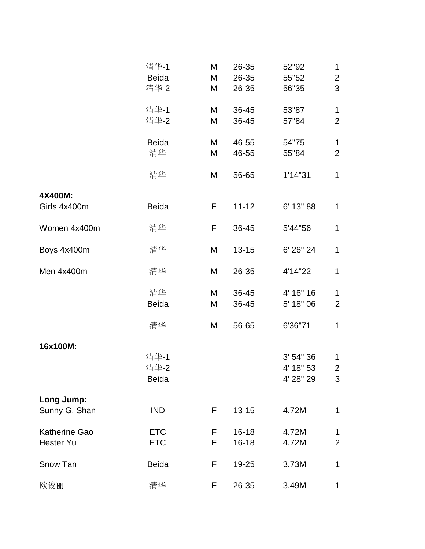|                                          | 清华-1<br><b>Beida</b><br>清华-2 | M<br>M<br>M | 26-35<br>26-35<br>26-35 | 52"92<br>55"52<br>56"35             | 1<br>$\overline{2}$<br>3           |
|------------------------------------------|------------------------------|-------------|-------------------------|-------------------------------------|------------------------------------|
|                                          | 清华-1<br>清华-2                 | M<br>M      | 36-45<br>36-45          | 53"87<br>57"84                      | $\mathbf 1$<br>$\overline{2}$      |
|                                          | <b>Beida</b><br>清华           | M<br>M      | 46-55<br>46-55          | 54"75<br>55"84                      | $\mathbf{1}$<br>$\overline{2}$     |
|                                          | 清华                           | M           | 56-65                   | 1'14"31                             | $\mathbf{1}$                       |
| 4X400M:<br>Girls 4x400m                  | <b>Beida</b>                 | F           | $11 - 12$               | 6' 13" 88                           | 1                                  |
| Women 4x400m                             | 清华                           | F           | 36-45                   | 5'44"56                             | $\mathbf{1}$                       |
| Boys 4x400m                              | 清华                           | M           | $13 - 15$               | 6' 26" 24                           | $\mathbf{1}$                       |
| Men 4x400m                               | 清华                           | M           | 26-35                   | 4'14"22                             | $\mathbf{1}$                       |
|                                          | 清华<br><b>Beida</b>           | M<br>M      | 36-45<br>36-45          | 4' 16" 16<br>5' 18" 06              | $\mathbf 1$<br>$\overline{2}$      |
|                                          | 清华                           | M           | 56-65                   | 6'36"71                             | $\mathbf{1}$                       |
| 16x100M:                                 | 清华-1<br>清华-2<br><b>Beida</b> |             |                         | 3' 54" 36<br>4' 18" 53<br>4' 28" 29 | $\mathbf 1$<br>$\overline{c}$<br>3 |
| Long Jump:<br>Sunny G. Shan              | <b>IND</b>                   | F           | $13 - 15$               | 4.72M                               | 1                                  |
| <b>Katherine Gao</b><br><b>Hester Yu</b> | <b>ETC</b><br><b>ETC</b>     | F<br>F      | $16 - 18$<br>$16 - 18$  | 4.72M<br>4.72M                      | 1<br>$\overline{2}$                |
| Snow Tan                                 | <b>Beida</b>                 | F           | 19-25                   | 3.73M                               | 1                                  |
| 欧俊丽                                      | 清华                           | F           | 26-35                   | 3.49M                               | 1                                  |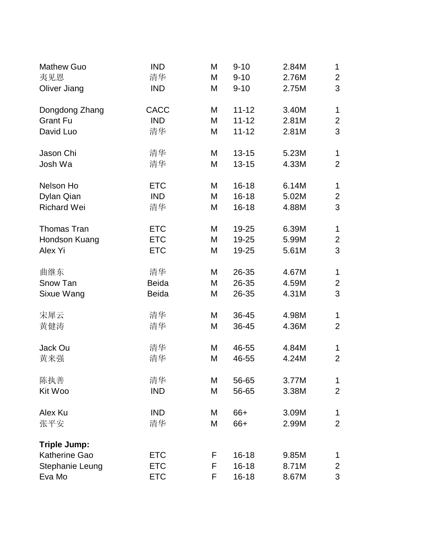| <b>Mathew Guo</b>    | <b>IND</b>   | M | $9 - 10$  | 2.84M | 1              |
|----------------------|--------------|---|-----------|-------|----------------|
| 夷见恩                  | 清华           | M | $9 - 10$  | 2.76M | $\overline{2}$ |
| Oliver Jiang         | <b>IND</b>   | M | $9 - 10$  | 2.75M | 3              |
| Dongdong Zhang       | <b>CACC</b>  | M | $11 - 12$ | 3.40M | 1              |
| <b>Grant Fu</b>      | <b>IND</b>   | M | $11 - 12$ | 2.81M | $\overline{2}$ |
| David Luo            | 清华           | M | $11 - 12$ | 2.81M | 3              |
| Jason Chi            | 清华           | M | $13 - 15$ | 5.23M | 1              |
| Josh Wa              | 清华           | M | $13 - 15$ | 4.33M | $\overline{2}$ |
| Nelson Ho            | <b>ETC</b>   | M | $16 - 18$ | 6.14M | $\mathbf{1}$   |
| Dylan Qian           | <b>IND</b>   | M | $16 - 18$ | 5.02M | $\overline{2}$ |
| <b>Richard Wei</b>   | 清华           | M | $16 - 18$ | 4.88M | 3              |
| <b>Thomas Tran</b>   | <b>ETC</b>   | M | 19-25     | 6.39M | 1              |
| Hondson Kuang        | <b>ETC</b>   | M | 19-25     | 5.99M | $\overline{2}$ |
| Alex Yi              | <b>ETC</b>   | M | 19-25     | 5.61M | 3              |
| 曲继东                  | 清华           | M | 26-35     | 4.67M | 1              |
| Snow Tan             | <b>Beida</b> | M | 26-35     | 4.59M | $\overline{2}$ |
| Sixue Wang           | <b>Beida</b> | M | 26-35     | 4.31M | 3              |
| 宋犀云                  | 清华           | M | 36-45     | 4.98M | 1              |
| 黄健涛                  | 清华           | M | 36-45     | 4.36M | $\overline{2}$ |
| Jack Ou              | 清华           | M | 46-55     | 4.84M | 1              |
| 黄来强                  | 清华           | M | 46-55     | 4.24M | $\overline{2}$ |
| 陈执善                  | 清华           | M | 56-65     | 3.77M | 1              |
| Kit Woo              | <b>IND</b>   | M | 56-65     | 3.38M | $\overline{2}$ |
| Alex Ku              | <b>IND</b>   | M | 66+       | 3.09M | 1              |
| 张平安                  | 清华           | M | 66+       | 2.99M | $\overline{2}$ |
| <b>Triple Jump:</b>  |              |   |           |       |                |
| <b>Katherine Gao</b> | <b>ETC</b>   | F | $16 - 18$ | 9.85M | 1              |
| Stephanie Leung      | <b>ETC</b>   | F | $16 - 18$ | 8.71M | $\overline{2}$ |
| Eva Mo               | <b>ETC</b>   | F | $16 - 18$ | 8.67M | 3              |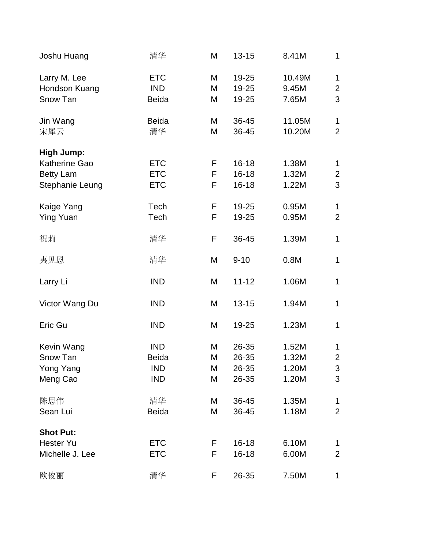| Joshu Huang                                                                      | 清华                                                     | M                | $13 - 15$                           | 8.41M                            | 1                                   |
|----------------------------------------------------------------------------------|--------------------------------------------------------|------------------|-------------------------------------|----------------------------------|-------------------------------------|
| Larry M. Lee<br>Hondson Kuang<br>Snow Tan                                        | <b>ETC</b><br><b>IND</b><br><b>Beida</b>               | M<br>M<br>M      | 19-25<br>19-25<br>19-25             | 10.49M<br>9.45M<br>7.65M         | $\mathbf{1}$<br>$\overline{2}$<br>3 |
| Jin Wang<br>宋犀云                                                                  | <b>Beida</b><br>清华                                     | M<br>M           | 36-45<br>36-45                      | 11.05M<br>10.20M                 | 1<br>$\overline{2}$                 |
| <b>High Jump:</b><br><b>Katherine Gao</b><br><b>Betty Lam</b><br>Stephanie Leung | <b>ETC</b><br><b>ETC</b><br><b>ETC</b>                 | F<br>F<br>F      | $16 - 18$<br>$16 - 18$<br>$16 - 18$ | 1.38M<br>1.32M<br>1.22M          | 1<br>$\overline{2}$<br>3            |
| Kaige Yang<br><b>Ying Yuan</b>                                                   | Tech<br>Tech                                           | F<br>F           | 19-25<br>19-25                      | 0.95M<br>0.95M                   | $\mathbf{1}$<br>$\overline{2}$      |
| 祝莉                                                                               | 清华                                                     | F                | 36-45                               | 1.39M                            | 1                                   |
| 夷见恩                                                                              | 清华                                                     | M                | $9 - 10$                            | 0.8M                             | $\mathbf{1}$                        |
| Larry Li                                                                         | <b>IND</b>                                             | M                | $11 - 12$                           | 1.06M                            | $\mathbf{1}$                        |
| Victor Wang Du                                                                   | <b>IND</b>                                             | M                | $13 - 15$                           | 1.94M                            | $\mathbf{1}$                        |
| Eric Gu                                                                          | <b>IND</b>                                             | M                | 19-25                               | 1.23M                            | $\mathbf{1}$                        |
| Kevin Wang<br>Snow Tan<br>Yong Yang<br>Meng Cao                                  | <b>IND</b><br><b>Beida</b><br><b>IND</b><br><b>IND</b> | M<br>М<br>M<br>M | 26-35<br>26-35<br>26-35<br>26-35    | 1.52M<br>1.32M<br>1.20M<br>1.20M | 1<br>$\overline{2}$<br>3<br>3       |
| 陈思伟<br>Sean Lui                                                                  | 清华<br><b>Beida</b>                                     | M<br>M           | 36-45<br>36-45                      | 1.35M<br>1.18M                   | 1<br>$\overline{2}$                 |
| <b>Shot Put:</b><br><b>Hester Yu</b><br>Michelle J. Lee                          | <b>ETC</b><br><b>ETC</b>                               | F.<br>F          | $16 - 18$<br>$16 - 18$              | 6.10M<br>6.00M                   | 1<br>$\overline{2}$                 |
| 欧俊丽                                                                              | 清华                                                     | F                | 26-35                               | 7.50M                            | 1                                   |